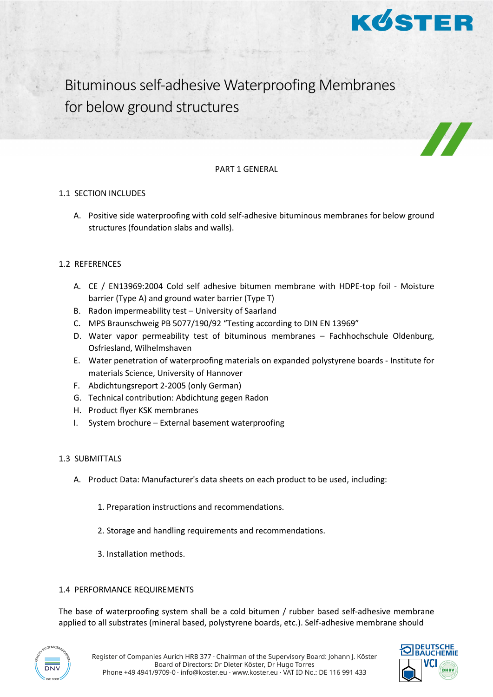

Bituminous self-adhesive Waterproofing Membranes for below ground structures

### PART 1 GENERAL

### 1.1 SECTION INCLUDES

A. Positive side waterproofing with cold self-adhesive bituminous membranes for below ground structures (foundation slabs and walls).

# 1.2 REFERENCES

- A. CE / EN13969:2004 Cold self adhesive bitumen membrane with HDPE-top foil Moisture barrier (Type A) and ground water barrier (Type T)
- B. Radon impermeability test University of Saarland
- C. MPS Braunschweig PB 5077/190/92 "Testing according to DIN EN 13969"
- D. Water vapor permeability test of bituminous membranes Fachhochschule Oldenburg, Osfriesland, Wilhelmshaven
- E. Water penetration of waterproofing materials on expanded polystyrene boards Institute for materials Science, University of Hannover
- F. Abdichtungsreport 2-2005 (only German)
- G. Technical contribution: Abdichtung gegen Radon
- H. Product flyer KSK membranes
- I. System brochure External basement waterproofing

# 1.3 SUBMITTALS

- A. Product Data: Manufacturer's data sheets on each product to be used, including:
	- 1. Preparation instructions and recommendations.
	- 2. Storage and handling requirements and recommendations.
	- 3. Installation methods.

# 1.4 PERFORMANCE REQUIREMENTS

The base of waterproofing system shall be a cold bitumen / rubber based self-adhesive membrane applied to all substrates (mineral based, polystyrene boards, etc.). Self-adhesive membrane should



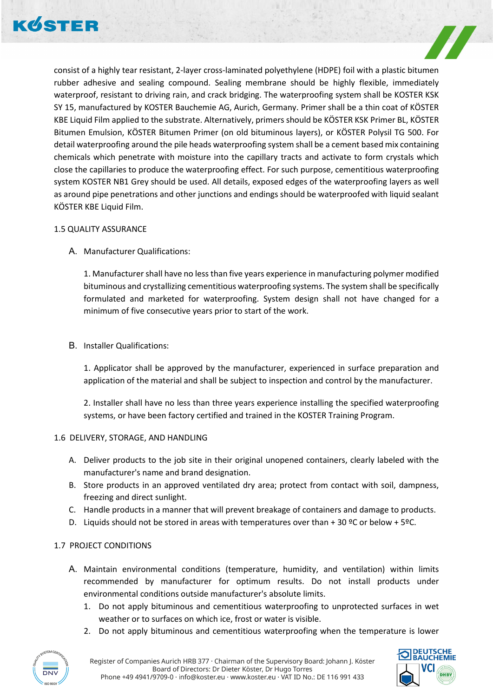



consist of a highly tear resistant, 2-layer cross-laminated polyethylene (HDPE) foil with a plastic bitumen rubber adhesive and sealing compound. Sealing membrane should be highly flexible, immediately waterproof, resistant to driving rain, and crack bridging. The waterproofing system shall be KOSTER KSK SY 15, manufactured by KOSTER Bauchemie AG, Aurich, Germany. Primer shall be a thin coat of KÖSTER KBE Liquid Film applied to the substrate. Alternatively, primers should be KÖSTER KSK Primer BL, KÖSTER Bitumen Emulsion, KÖSTER Bitumen Primer (on old bituminous layers), or KÖSTER Polysil TG 500. For detail waterproofing around the pile heads waterproofing system shall be a cement based mix containing chemicals which penetrate with moisture into the capillary tracts and activate to form crystals which close the capillaries to produce the waterproofing effect. For such purpose, cementitious waterproofing system KOSTER NB1 Grey should be used. All details, exposed edges of the waterproofing layers as well as around pipe penetrations and other junctions and endings should be waterproofed with liquid sealant KÖSTER KBE Liquid Film.

### 1.5 QUALITY ASSURANCE

A. Manufacturer Qualifications:

1. Manufacturer shall have no less than five years experience in manufacturing polymer modified bituminous and crystallizing cementitious waterproofing systems. The system shall be specifically formulated and marketed for waterproofing. System design shall not have changed for a minimum of five consecutive years prior to start of the work.

B. Installer Qualifications:

1. Applicator shall be approved by the manufacturer, experienced in surface preparation and application of the material and shall be subject to inspection and control by the manufacturer.

2. Installer shall have no less than three years experience installing the specified waterproofing systems, or have been factory certified and trained in the KOSTER Training Program.

# 1.6 DELIVERY, STORAGE, AND HANDLING

- A. Deliver products to the job site in their original unopened containers, clearly labeled with the manufacturer's name and brand designation.
- B. Store products in an approved ventilated dry area; protect from contact with soil, dampness, freezing and direct sunlight.
- C. Handle products in a manner that will prevent breakage of containers and damage to products.
- D. Liquids should not be stored in areas with temperatures over than + 30  $°C$  or below + 5°C.

# 1.7 PROJECT CONDITIONS

- A. Maintain environmental conditions (temperature, humidity, and ventilation) within limits recommended by manufacturer for optimum results. Do not install products under environmental conditions outside manufacturer's absolute limits.
	- 1. Do not apply bituminous and cementitious waterproofing to unprotected surfaces in wet weather or to surfaces on which ice, frost or water is visible.
	- 2. Do not apply bituminous and cementitious waterproofing when the temperature is lower



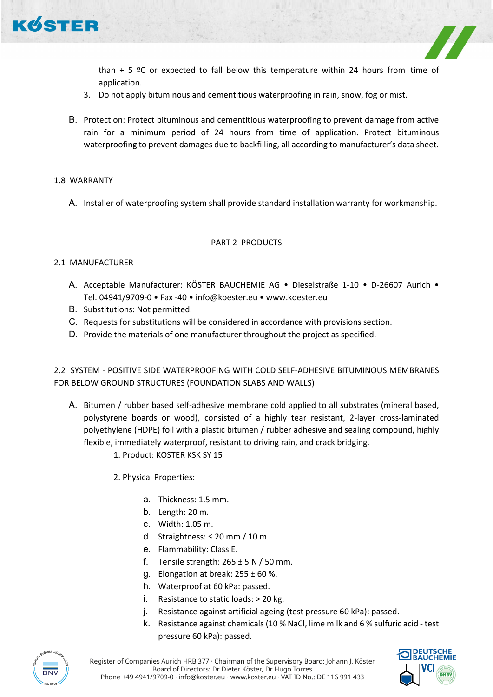

than  $+5$  °C or expected to fall below this temperature within 24 hours from time of application.

- 3. Do not apply bituminous and cementitious waterproofing in rain, snow, fog or mist.
- B. Protection: Protect bituminous and cementitious waterproofing to prevent damage from active rain for a minimum period of 24 hours from time of application. Protect bituminous waterproofing to prevent damages due to backfilling, all according to manufacturer's data sheet.

### 1.8 WARRANTY

A. Installer of waterproofing system shall provide standard installation warranty for workmanship.

#### PART 2 PRODUCTS

#### 2.1 MANUFACTURER

- A. Acceptable Manufacturer: KÖSTER BAUCHEMIE AG Dieselstraße 1-10 D-26607 Aurich Tel. 04941/9709-0 • Fax -40 • info@koester.eu • www.koester.eu
- B. Substitutions: Not permitted.
- C. Requests for substitutions will be considered in accordance with provisions section.
- D. Provide the materials of one manufacturer throughout the project as specified.

# 2.2 SYSTEM - POSITIVE SIDE WATERPROOFING WITH COLD SELF-ADHESIVE BITUMINOUS MEMBRANES FOR BELOW GROUND STRUCTURES (FOUNDATION SLABS AND WALLS)

- A. Bitumen / rubber based self-adhesive membrane cold applied to all substrates (mineral based, polystyrene boards or wood), consisted of a highly tear resistant, 2-layer cross-laminated polyethylene (HDPE) foil with a plastic bitumen / rubber adhesive and sealing compound, highly flexible, immediately waterproof, resistant to driving rain, and crack bridging.
	- 1. Product: KOSTER KSK SY 15
	- 2. Physical Properties:
		- a. Thickness: 1.5 mm.
		- b. Length: 20 m.
		- c. Width: 1.05 m.
		- d. Straightness: ≤ 20 mm / 10 m
		- e. Flammability: Class E.
		- f. Tensile strength:  $265 \pm 5$  N / 50 mm.
		- g. Elongation at break:  $255 \pm 60$  %.
		- h. Waterproof at 60 kPa: passed.
		- i. Resistance to static loads: > 20 kg.
		- j. Resistance against artificial ageing (test pressure 60 kPa): passed.
		- k. Resistance against chemicals (10 % NaCl, lime milk and 6 % sulfuric acid test pressure 60 kPa): passed.



Register of Companies Aurich HRB 377 · Chairman of the Supervisory Board: Johann J. Köster Board of Directors: Dr Dieter Köster, Dr Hugo Torres Phone +49 4941/9709-0 · info@koster.eu · www.koster.eu · VAT ID No.: DE 116 991 433

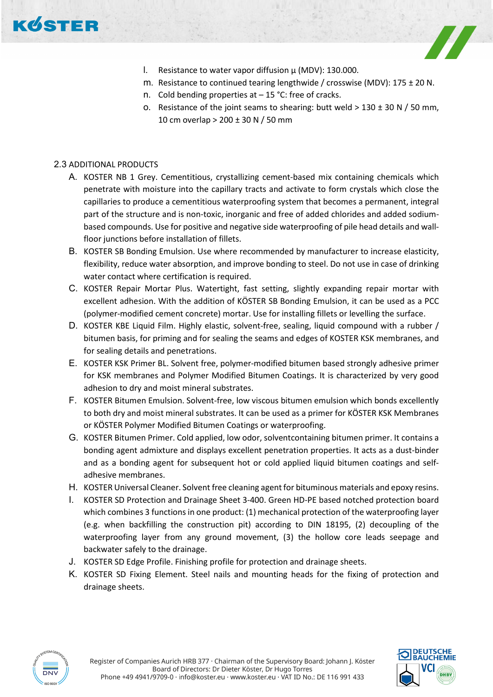



- l. Resistance to water vapor diffusion  $\mu$  (MDV): 130.000.
- m. Resistance to continued tearing lengthwide / crosswise (MDV):  $175 \pm 20$  N.
- n. Cold bending properties at 15 °C: free of cracks.
- o. Resistance of the joint seams to shearing: butt weld  $> 130 \pm 30$  N / 50 mm, 10 cm overlap > 200 ± 30 N / 50 mm

# 2.3 ADDITIONAL PRODUCTS

- A. KOSTER NB 1 Grey. Cementitious, crystallizing cement-based mix containing chemicals which penetrate with moisture into the capillary tracts and activate to form crystals which close the capillaries to produce a cementitious waterproofing system that becomes a permanent, integral part of the structure and is non-toxic, inorganic and free of added chlorides and added sodiumbased compounds. Use for positive and negative side waterproofing of pile head details and wallfloor junctions before installation of fillets.
- B. KOSTER SB Bonding Emulsion. Use where recommended by manufacturer to increase elasticity, flexibility, reduce water absorption, and improve bonding to steel. Do not use in case of drinking water contact where certification is required.
- C. KOSTER Repair Mortar Plus. Watertight, fast setting, slightly expanding repair mortar with excellent adhesion. With the addition of KÖSTER SB Bonding Emulsion, it can be used as a PCC (polymer-modified cement concrete) mortar. Use for installing fillets or levelling the surface.
- D. KOSTER KBE Liquid Film. Highly elastic, solvent-free, sealing, liquid compound with a rubber / bitumen basis, for priming and for sealing the seams and edges of KOSTER KSK membranes, and for sealing details and penetrations.
- E. KOSTER KSK Primer BL. Solvent free, polymer-modified bitumen based strongly adhesive primer for KSK membranes and Polymer Modified Bitumen Coatings. It is characterized by very good adhesion to dry and moist mineral substrates.
- F. KOSTER Bitumen Emulsion. Solvent-free, low viscous bitumen emulsion which bonds excellently to both dry and moist mineral substrates. It can be used as a primer for KÖSTER KSK Membranes or KÖSTER Polymer Modified Bitumen Coatings or waterproofing.
- G. KOSTER Bitumen Primer. Cold applied, low odor, solventcontaining bitumen primer. It contains a bonding agent admixture and displays excellent penetration properties. It acts as a dust-binder and as a bonding agent for subsequent hot or cold applied liquid bitumen coatings and selfadhesive membranes.
- H. KOSTER Universal Cleaner. Solvent free cleaning agent for bituminous materials and epoxy resins.
- I. KOSTER SD Protection and Drainage Sheet 3-400. Green HD-PE based notched protection board which combines 3 functions in one product: (1) mechanical protection of the waterproofing layer (e.g. when backfilling the construction pit) according to DIN 18195, (2) decoupling of the waterproofing layer from any ground movement, (3) the hollow core leads seepage and backwater safely to the drainage.
- J. KOSTER SD Edge Profile. Finishing profile for protection and drainage sheets.
- K. KOSTER SD Fixing Element. Steel nails and mounting heads for the fixing of protection and drainage sheets.



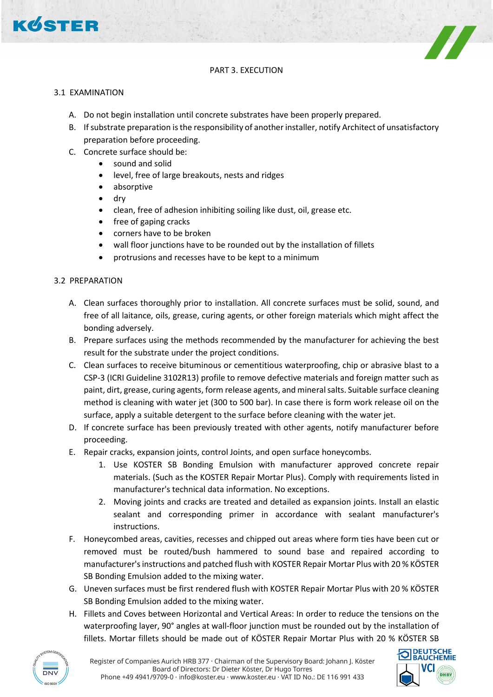

# PART 3. EXECUTION

### 3.1 EXAMINATION

- A. Do not begin installation until concrete substrates have been properly prepared.
- B. If substrate preparation is the responsibility of another installer, notify Architect of unsatisfactory preparation before proceeding.
- C. Concrete surface should be:
	- sound and solid
	- level, free of large breakouts, nests and ridges
	- absorptive
	- dry
	- clean, free of adhesion inhibiting soiling like dust, oil, grease etc.
	- free of gaping cracks
	- corners have to be broken
	- wall floor junctions have to be rounded out by the installation of fillets
	- protrusions and recesses have to be kept to a minimum

### 3.2 PREPARATION

- A. Clean surfaces thoroughly prior to installation. All concrete surfaces must be solid, sound, and free of all laitance, oils, grease, curing agents, or other foreign materials which might affect the bonding adversely.
- B. Prepare surfaces using the methods recommended by the manufacturer for achieving the best result for the substrate under the project conditions.
- C. Clean surfaces to receive bituminous or cementitious waterproofing, chip or abrasive blast to a CSP-3 (ICRI Guideline 3102R13) profile to remove defective materials and foreign matter such as paint, dirt, grease, curing agents, form release agents, and mineral salts. Suitable surface cleaning method is cleaning with water jet (300 to 500 bar). In case there is form work release oil on the surface, apply a suitable detergent to the surface before cleaning with the water jet.
- D. If concrete surface has been previously treated with other agents, notify manufacturer before proceeding.
- E. Repair cracks, expansion joints, control Joints, and open surface honeycombs.
	- 1. Use KOSTER SB Bonding Emulsion with manufacturer approved concrete repair materials. (Such as the KOSTER Repair Mortar Plus). Comply with requirements listed in manufacturer's technical data information. No exceptions.
	- 2. Moving joints and cracks are treated and detailed as expansion joints. Install an elastic sealant and corresponding primer in accordance with sealant manufacturer's instructions.
- F. Honeycombed areas, cavities, recesses and chipped out areas where form ties have been cut or removed must be routed/bush hammered to sound base and repaired according to manufacturer's instructions and patched flush with KOSTER Repair Mortar Plus with 20 % KÖSTER SB Bonding Emulsion added to the mixing water.
- G. Uneven surfaces must be first rendered flush with KOSTER Repair Mortar Plus with 20 % KÖSTER SB Bonding Emulsion added to the mixing water.
- H. Fillets and Coves between Horizontal and Vertical Areas: In order to reduce the tensions on the waterproofing layer, 90° angles at wall-floor junction must be rounded out by the installation of fillets. Mortar fillets should be made out of KÖSTER Repair Mortar Plus with 20 % KÖSTER SB



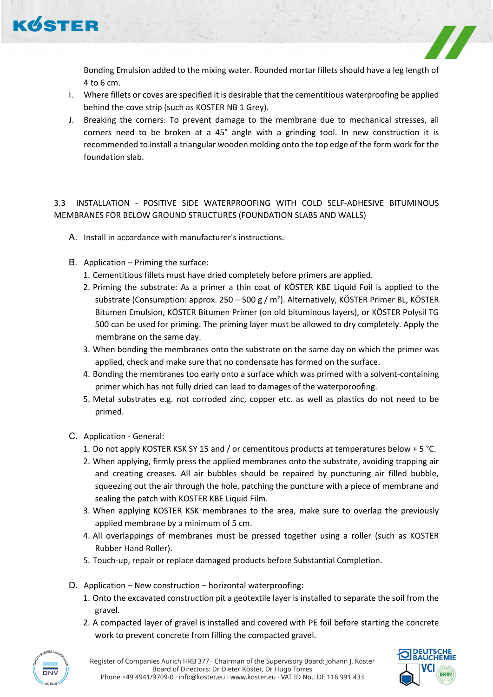

Bonding Emulsion added to the mixing water. Rounded mortar fillets should have a leg length of 4 to 6 cm.

- I. Where fillets or coves are specified it is desirable that the cementitious waterproofing be applied behind the cove strip (such as KOSTER NB 1 Grey).
- J. Breaking the corners: To prevent damage to the membrane due to mechanical stresses, all corners need to be broken at a 45° angle with a grinding tool. In new construction it is recommended to install a triangular wooden molding onto the top edge of the form work for the foundation slab.

# 3.3 INSTALLATION - POSITIVE SIDE WATERPROOFING WITH COLD SELF-ADHESIVE BITUMINOUS MEMBRANES FOR BELOW GROUND STRUCTURES (FOUNDATION SLABS AND WALLS)

- A. Install in accordance with manufacturer's instructions.
- B. Application Priming the surface:
	- 1. Cementitious fillets must have dried completely before primers are applied.
	- 2. Priming the substrate: As a primer a thin coat of KÖSTER KBE Liquid Foil is applied to the substrate (Consumption: approx. 250 – 500 g / m<sup>2</sup>). Alternatively, KÖSTER Primer BL, KÖSTER Bitumen Emulsion, KÖSTER Bitumen Primer (on old bituminous layers), or KÖSTER Polysil TG 500 can be used for priming. The priming layer must be allowed to dry completely. Apply the membrane on the same day.
	- 3. When bonding the membranes onto the substrate on the same day on which the primer was applied, check and make sure that no condensate has formed on the surface.
	- 4. Bonding the membranes too early onto a surface which was primed with a solvent-containing primer which has not fully dried can lead to damages of the waterporoofing.
	- 5. Metal substrates e.g. not corroded zinc, copper etc. as well as plastics do not need to be primed.
- C. Application General:
	- 1. Do not apply KOSTER KSK SY 15 and / or cementitous products at temperatures below + 5 °C.
	- 2. When applying, firmly press the applied membranes onto the substrate, avoiding trapping air and creating creases. All air bubbles should be repaired by puncturing air filled bubble, squeezing out the air through the hole, patching the puncture with a piece of membrane and sealing the patch with KOSTER KBE Liquid Film.
	- 3. When applying KOSTER KSK membranes to the area, make sure to overlap the previously applied membrane by a minimum of 5 cm.
	- 4. All overlappings of membranes must be pressed together using a roller (such as KOSTER Rubber Hand Roller).
	- 5. Touch-up, repair or replace damaged products before Substantial Completion.
- D. Application New construction horizontal waterproofing:
	- 1. Onto the excavated construction pit a geotextile layer is installed to separate the soil from the gravel.
	- 2. A compacted layer of gravel is installed and covered with PE foil before starting the concrete work to prevent concrete from filling the compacted gravel.



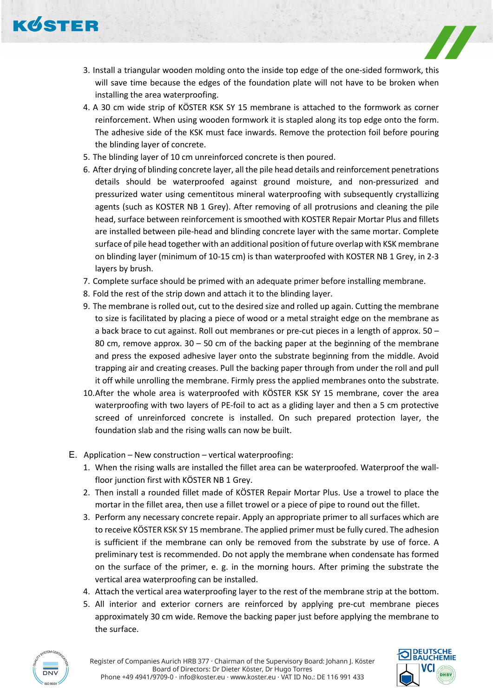

- 3. Install a triangular wooden molding onto the inside top edge of the one-sided formwork, this will save time because the edges of the foundation plate will not have to be broken when installing the area waterproofing.
- 4. A 30 cm wide strip of KÖSTER KSK SY 15 membrane is attached to the formwork as corner reinforcement. When using wooden formwork it is stapled along its top edge onto the form. The adhesive side of the KSK must face inwards. Remove the protection foil before pouring the blinding layer of concrete.
- 5. The blinding layer of 10 cm unreinforced concrete is then poured.
- 6. After drying of blinding concrete layer, all the pile head details and reinforcement penetrations details should be waterproofed against ground moisture, and non-pressurized and pressurized water using cementitous mineral waterproofing with subsequently crystallizing agents (such as KOSTER NB 1 Grey). After removing of all protrusions and cleaning the pile head, surface between reinforcement is smoothed with KOSTER Repair Mortar Plus and fillets are installed between pile-head and blinding concrete layer with the same mortar. Complete surface of pile head together with an additional position of future overlap with KSK membrane on blinding layer (minimum of 10-15 cm) is than waterproofed with KOSTER NB 1 Grey, in 2-3 layers by brush.
- 7. Complete surface should be primed with an adequate primer before installing membrane.
- 8. Fold the rest of the strip down and attach it to the blinding layer.
- 9. The membrane is rolled out, cut to the desired size and rolled up again. Cutting the membrane to size is facilitated by placing a piece of wood or a metal straight edge on the membrane as a back brace to cut against. Roll out membranes or pre-cut pieces in a length of approx. 50 – 80 cm, remove approx. 30 – 50 cm of the backing paper at the beginning of the membrane and press the exposed adhesive layer onto the substrate beginning from the middle. Avoid trapping air and creating creases. Pull the backing paper through from under the roll and pull it off while unrolling the membrane. Firmly press the applied membranes onto the substrate.
- 10.After the whole area is waterproofed with KÖSTER KSK SY 15 membrane, cover the area waterproofing with two layers of PE-foil to act as a gliding layer and then a 5 cm protective screed of unreinforced concrete is installed. On such prepared protection layer, the foundation slab and the rising walls can now be built.
- E. Application New construction vertical waterproofing:
	- 1. When the rising walls are installed the fillet area can be waterproofed. Waterproof the wallfloor junction first with KÖSTER NB 1 Grey.
	- 2. Then install a rounded fillet made of KÖSTER Repair Mortar Plus. Use a trowel to place the mortar in the fillet area, then use a fillet trowel or a piece of pipe to round out the fillet.
	- 3. Perform any necessary concrete repair. Apply an appropriate primer to all surfaces which are to receive KÖSTER KSK SY 15 membrane. The applied primer must be fully cured. The adhesion is sufficient if the membrane can only be removed from the substrate by use of force. A preliminary test is recommended. Do not apply the membrane when condensate has formed on the surface of the primer, e. g. in the morning hours. After priming the substrate the vertical area waterproofing can be installed.
	- 4. Attach the vertical area waterproofing layer to the rest of the membrane strip at the bottom.
	- 5. All interior and exterior corners are reinforced by applying pre-cut membrane pieces approximately 30 cm wide. Remove the backing paper just before applying the membrane to the surface.